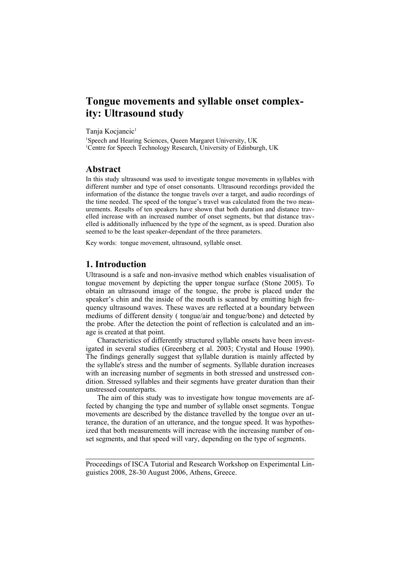# **Tongue movements and syllable onset complexity: Ultrasound study**

Tanja Kocjancic<sup>1</sup>

<sup>1</sup>Speech and Hearing Sciences, Queen Margaret University, UK <sup>1</sup>Centre for Speech Technology Research, University of Edinburgh, UK

#### **Abstract**

In this study ultrasound was used to investigate tongue movements in syllables with different number and type of onset consonants. Ultrasound recordings provided the information of the distance the tongue travels over a target, and audio recordings of the time needed. The speed of the tongue's travel was calculated from the two measurements. Results of ten speakers have shown that both duration and distance travelled increase with an increased number of onset segments, but that distance travelled is additionally influenced by the type of the segment, as is speed. Duration also seemed to be the least speaker-dependant of the three parameters.

Key words: tongue movement, ultrasound, syllable onset.

# **1. Introduction**

Ultrasound is a safe and non-invasive method which enables visualisation of tongue movement by depicting the upper tongue surface (Stone 2005). To obtain an ultrasound image of the tongue, the probe is placed under the speaker's chin and the inside of the mouth is scanned by emitting high frequency ultrasound waves. These waves are reflected at a boundary between mediums of different density ( tongue/air and tongue/bone) and detected by the probe. After the detection the point of reflection is calculated and an image is created at that point.

Characteristics of differently structured syllable onsets have been investigated in several studies (Greenberg et al. 2003; Crystal and House 1990). The findings generally suggest that syllable duration is mainly affected by the syllable's stress and the number of segments. Syllable duration increases with an increasing number of segments in both stressed and unstressed condition. Stressed syllables and their segments have greater duration than their unstressed counterparts.

The aim of this study was to investigate how tongue movements are affected by changing the type and number of syllable onset segments. Tongue movements are described by the distance travelled by the tongue over an utterance, the duration of an utterance, and the tongue speed. It was hypothesized that both measurements will increase with the increasing number of onset segments, and that speed will vary, depending on the type of segments.

Proceedings of ISCA Tutorial and Research Workshop on Experimental Linguistics 2008, 28-30 August 2006, Athens, Greece.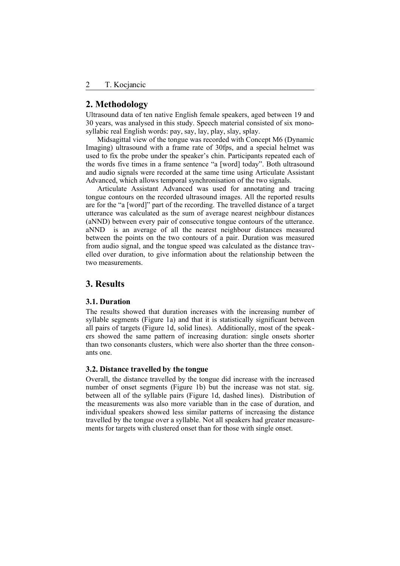### **2. Methodology**

Ultrasound data of ten native English female speakers, aged between 19 and 30 years, was analysed in this study. Speech material consisted of six monosyllabic real English words: pay, say, lay, play, slay, splay.

Midsagittal view of the tongue was recorded with Concept M6 (Dynamic Imaging) ultrasound with a frame rate of 30fps, and a special helmet was used to fix the probe under the speaker's chin. Participants repeated each of the words five times in a frame sentence "a [word] today". Both ultrasound and audio signals were recorded at the same time using Articulate Assistant Advanced, which allows temporal synchronisation of the two signals.

Articulate Assistant Advanced was used for annotating and tracing tongue contours on the recorded ultrasound images. All the reported results are for the "a [word]" part of the recording. The travelled distance of a target utterance was calculated as the sum of average nearest neighbour distances (aNND) between every pair of consecutive tongue contours of the utterance. aNND is an average of all the nearest neighbour distances measured between the points on the two contours of a pair. Duration was measured from audio signal, and the tongue speed was calculated as the distance travelled over duration, to give information about the relationship between the two measurements.

## **3. Results**

#### **3.1. Duration**

The results showed that duration increases with the increasing number of syllable segments (Figure 1a) and that it is statistically significant between all pairs of targets (Figure 1d, solid lines). Additionally, most of the speakers showed the same pattern of increasing duration: single onsets shorter than two consonants clusters, which were also shorter than the three consonants one.

#### **3.2. Distance travelled by the tongue**

Overall, the distance travelled by the tongue did increase with the increased number of onset segments (Figure 1b) but the increase was not stat. sig. between all of the syllable pairs (Figure 1d, dashed lines). Distribution of the measurements was also more variable than in the case of duration, and individual speakers showed less similar patterns of increasing the distance travelled by the tongue over a syllable. Not all speakers had greater measurements for targets with clustered onset than for those with single onset.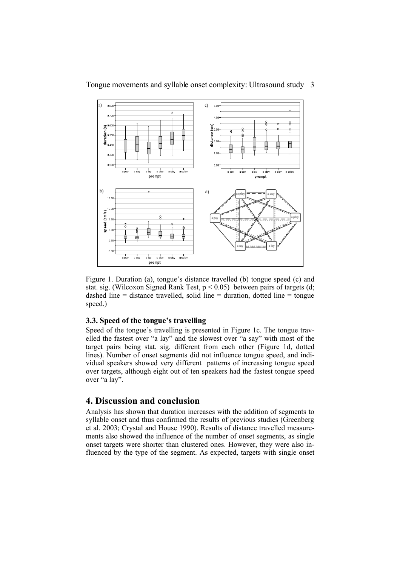

Figure 1. Duration (a), tongue's distance travelled (b) tongue speed (c) and stat. sig. (Wilcoxon Signed Rank Test,  $p < 0.05$ ) between pairs of targets (d; dashed line  $=$  distance travelled, solid line  $=$  duration, dotted line  $=$  tongue speed.)

### **3.3. Speed of the tongue's travelling**

Speed of the tongue's travelling is presented in Figure 1c. The tongue travelled the fastest over "a lay" and the slowest over "a say" with most of the target pairs being stat. sig. different from each other (Figure 1d, dotted lines). Number of onset segments did not influence tongue speed, and individual speakers showed very different patterns of increasing tongue speed over targets, although eight out of ten speakers had the fastest tongue speed over "a lay".

# **4. Discussion and conclusion**

Analysis has shown that duration increases with the addition of segments to syllable onset and thus confirmed the results of previous studies (Greenberg et al. 2003; Crystal and House 1990). Results of distance travelled measurements also showed the influence of the number of onset segments, as single onset targets were shorter than clustered ones. However, they were also influenced by the type of the segment. As expected, targets with single onset